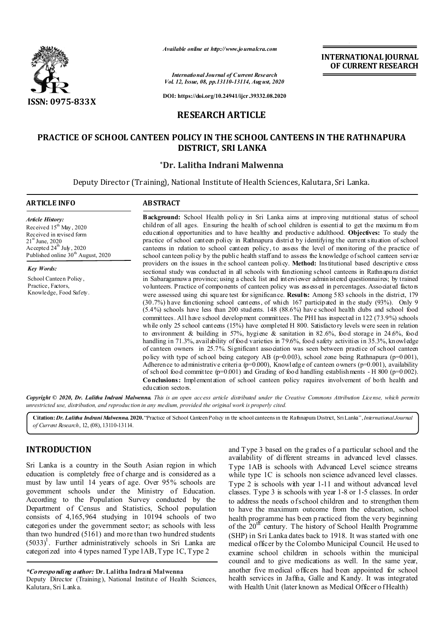

*Available online at http://www.journalcra.com*

*International Journal of Current Research Vol. 12, Issue, 08, pp.13110-13114, August, 2020*

**DOI: https://doi.org/10.24941/ijcr.39332.08.2020**

# **RESEARCH ARTICLE**

# **PRACTICE OF SCHOOL CANTEEN POLICY IN THE SCHOOL CANTEENS IN THE RATHNAPURA DISTRICT, SRI LANKA**

## **\*Dr. Lalitha Indrani Malwenna**

Deputy Director (Training), National Institute of Health Sciences, Kalutara, Sri Lanka.

# **ARTICLE INFO ABSTRACT**

*Article History: Article History:* Received  $15^{\text{th}}$  May, 2020 Received in revised form Received in revised form  $21<sup>st</sup>$  June, 2020 Accepted  $24^{\rm th}$  July, 2020 Published online 30<sup>th</sup> August, 2020

*Key Words:* School Canteen Policy , Practice, Factors, Knowledge, Food Safety. **Background:** School Health policy in Sri Lanka aims at improving nutritional status of school children of all ages. Ensuring the health of school children is essential to get the maximu m fro m educational opportunities and to have healthy and productive adulthood. **Objectives:** To study the practice of school canteen policy in Rathnapura district by identifying the current situation of school canteens in relation to school canteen policy, to assess the level of monitoring of the practice of school canteen policy by the public health staff and to assess the knowledge of school canteen service providers on the issues in the school canteen policy. **Method:** Institutional based descriptive cross sectional study was conducted in all schools with functioning school canteens in Rathnapura district in Sabaragamuwa province; using a check list and interviewer administered questionnaires; by trained volunteers. Practice of components of canteen policy was assessed in percentages. Associated factors were assessed using chi square test for significance. **Results:** Among 583 schools in the district, 179 (30.7%) have functioning school canteens, of which 167 participated in the study (93%). Only 9 (5.4%) schools have less than 200 students. 148 (88.6%) have school health clubs and school food committees. All have school development committees. The PHI has inspected in 122 (73.9%) schools while only 25 school canteens (15%) have completed H 800. Satisfactory levels were seen in relation to environment & building in 57%, hygiene & sanitation in 82.6%, food storage in 24.6%, food handling in 71.3%, availability of food varieties in 79.6%, food safety activities in 35.3%, knowledge of canteen owners in 25.7%. Significant association was seen between practice of school canteen policy with type of school being category AB ( $p=0.003$ ), school zone being Rathnapura ( $p=0.001$ ), Adherence to administrative criteria ( $p=0.000$ ), Knowledge of canteen owners ( $p=0.001$ ), availability of school food committee ( $p=0.001$ ) and Grading of food handling establishments - H 800 ( $p=0.002$ ). **Conclusions:** Implementation of school canteen policy requires involvement of both health and education sectors.

**INTERNATIONAL JOURNAL OF CURRENT RESEARCH**

Copyright © 2020, Dr. Lalitha Indrani Malwenna. This is an open access article distributed under the Creative Commons Attribution License, which permits *unrestricted use, distribution, and reproduction in any medium, provided the original work is properly cited.*

**Citation:***Dr. Lalitha Indrani Malwenna.* **2020.** "Practice of School Canteen Policy in the school canteens in the Rathnapura District, Sri Lanka", *International Journal of Current Research*, 12, (08), 13110-13114.

## **INTRODUCTION**

Sri Lanka is a country in the South Asian region in which education is completely free of charge and is considered as a must by law until 14 years of age. Over 95% schools are government schools under the Ministry of Education. According to the Population Survey conducted by the Department of Census and Statistics, School population consists of 4,165,964 studying in 10194 schools of two categories under the government sector; as schools with less than two hundred (5161) and mo re than two hundred students  $(5033)^1$ . Further administratively schools in Sri Lanka are categorized into 4 types named Type 1AB, Type 1C, Type 2

*\*Corresponding author:* **Dr. Lalitha Indrani Malwenna**

Deputy Director (Training), National Institute of Health Sciences, Kalutara, Sri Lanka.

and Type 3 based on the g rades of a particular school and the availability of different streams in advanced level classes. Type 1AB is schools with Advanced Level science streams while type 1C is schools non science advanced level classes. Type 2 is schools with year 1-11 and without advanced level classes. Type 3 is schools with year 1-8 or 1-5 classes. In order to address the needs of school children and to strengthen them to have the maximum outcome from the education, school health programme has been p racticed from the very beginning of the  $20^{th}$  century. The history of School Health Programme (SHP) in Sri Lanka dates back to 1918. It was started with one medical officer by the Colombo Municipal Council. He used to examine school children in schools within the municipal council and to give medications as well. In the same year, another five medical officers had been appointed for school health services in Jaffna, Galle and Kandy. It was integrated with Health Unit (later known as Medical Officer o f Health)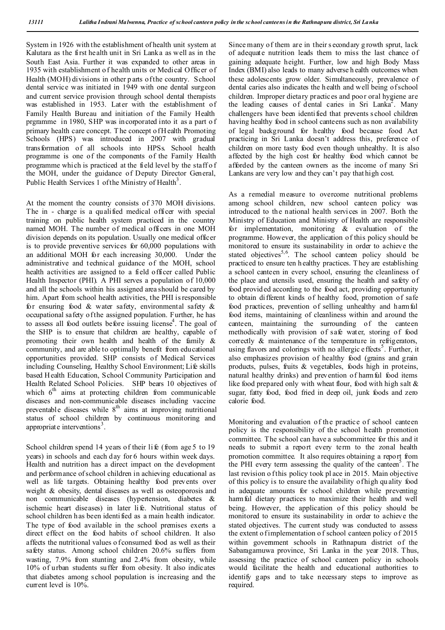System in 1926 with the establishment of health unit system at Kalutara as the first health unit in Sri Lanka as well as in the South East Asia. Further it was expanded to other areas in 1935 with establishment o f health units or Medical Officer of Health (MOH) divisions in other p arts of the country. School dental service was initiated in 1949 with one dental surgeon and current service provision through school dental therapists was established in 1953. Later with the establishment of Family Health Bureau and initiation of the Family Health prgramme in 1980, SHP was incorporated into it as a part o f primary health care concept. T he concept o f H ealth Promoting Schools (HPS) was introduced in 2007 with gradual transformation of all schools into HPSs. School health programme is one of the components of the Family Health programme which is practiced at the field level by the staff o f the MOH, under the guidance of Deputy Director General, Public Health Services 1 of the Ministry of Health<sup>3</sup>.

At the moment the country consists of 370 MOH divisions. The in - charge is a qualified medical officer with special training on public health system practiced in the country named MOH. The number of medical officers in one MOH division depends on its population. Usually one medical officer is to provide preventive services for 60,000 populations with an additional MOH for each increasing 30,000. Under the administrative and technical guidance of the MOH, school health activities are assigned to a field officer called Public Health Inspector (PHI). A PHI serves a population of 10,000 and all the schools within his assigned area should be cared by him. Apart from school health activities, the PHI is responsible for ensuring food  $\&$  water safety, environmental safety  $\&$ occupational safety of the assigned population. Further, he has to assess all food outlets before issuing license<sup>4</sup>. The goal of the SHP is to ensure that children are healthy, capable of promoting their own health and health of the family & community, and are able to optimally benefit from educational opportunities provided. SHP consists of Medical Services including Counseling, Healthy School Environment; Life skills based H ealth Education, School Community Participation and Health Related School Policies. SHP bears 10 objectives of which  $6<sup>th</sup>$  aims at protecting children from communicable diseases and non-communicable diseases including vaccine preventable diseases while  $8<sup>th</sup>$  aims at improving nutritional status of school children by continuous monitoring and appropriate interventions<sup>3</sup>.

School children spend 14 years of their life (from age 5 to 19 years) in schools and each day for 6 hours within week days. Health and nutrition has a direct impact on the development and performance of school children in achieving educational as well as life targets. Obtaining healthy food prevents over weight & obesity, dental diseases as well as osteoporosis and non communicable diseases (hypertension, diabetes & ischemic heart diseases) in later li fe. Nutritional status of school children has been identi fied as a main health indicator. The type of food available in the school premises exerts a direct effect on the food habits of school children. It also affects the nutritional values o f consumed food as well as their safety status. Among school children 20.6% suffers from wasting, 7.9% from stunting and 2.4% from obesity, while 10% of urban students suffer from obesity. It also indicates that diabetes among school population is increasing and the current level is 10%.

Since many of them are in their s econdary g rowth sprut, lack of adequate nutrition leads them to miss the last chance of gaining adequate height. Further, low and high Body Mass Index (BMI) also leads to many adverse h ealth outcomes when these adolescents grow older. Simultaneously, prevalence of dental caries also indicates the h ealth and well being of school children. Improper dietary practices and poor oral hygiene are the leading causes of dental caries in Sri Lanka<sup>2</sup>. Many challengers have been identified that prevents s chool children having healthy food in school canteens such as non availability of legal background for healthy food because food Act practicing in Sri Lanka doesn't address this, preference of children on more tasty food even though unhealthy. It is also affected by the high cost for healthy food which cannot be afforded by the canteen owners as the income of many Sri Lankans are very low and they can't pay that high cost.

As a remedial measure to overcome nutritional problems among school children, new school canteen policy was introduced to the national health services in 2007. Both the Ministry of Education and Ministry of Health are responsible for implementation, monitoring & evaluation of the programme. However, the application of this policy should be monitored to ensure its sustainability in order to achieve the stated objectives<sup>5,6</sup>. The school canteen policy should be practiced to ensure ten h ealthy practices. T hey are establishing a school canteen in every school, ensuring the cleanliness of the place and utensils used, ensuring the health and safety of food provid ed according to the food act, providing opportunity to obtain different kinds of healthy food, promotion of safe food practices, prevention of selling unhealthy and harmful food items, maintaining of cleanliness within and around the canteen, maintaining the surrounding of the canteen methodically with provision of safe water, storing of food correctly & maintenance of the temperature in refrigerators, using flavors and colorings with no allergic effects<sup>5</sup>. Further, it also emphasizes provision of healthy food (grains and grain products, pulses, fruits & vegetables, foods high in proteins, natural healthy drinks) and prevention of harmful food items like food prepared only with wheat flour, food with high salt & sugar, fatty food, food fried in deep oil, junk foods and zero calorie food.

Monitoring and evaluation of the practice of school canteen policy is the responsibility of the school health promotion committee. The school can have a subcommittee for this and it needs to submit a report every term to the zonal health promotion committee. It also requires obtaining a report from the PHI every term assessing the quality of the canteen<sup>5</sup>. The last revision o f this policy took place in 2015. Main objective of this policy is to ensure the availability of high qu ality food in adequate amounts for school children while preventing harm ful dietary practices to maximize their health and well being. However, the application of this policy should be monitored to ensure its sustainability in order to achieve the stated objectives. The current study was conducted to assess the extent o f implementation of school canteen policy of 2015 within government schools in Rathnapura district of the Sabaragamuwa province, Sri Lanka in the year 2018. Thus, assessing the practice of school canteen policy in schools would facilitate the health and educational authorities to identify gaps and to take necessary steps to improve as required.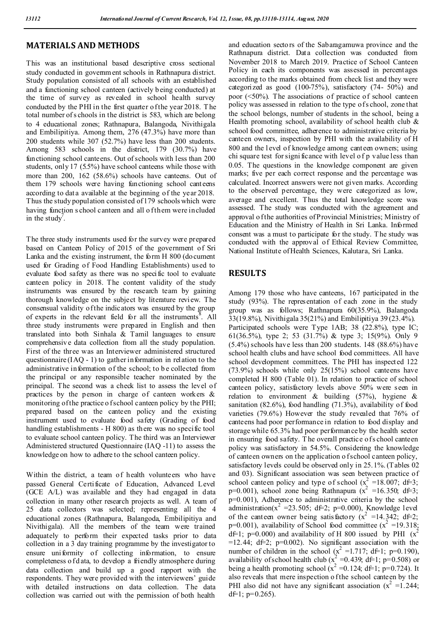## **MATERIALS AND METHODS**

This was an institutional based descriptive cross sectional study conducted in government schools in Rathnapura district. Study population consisted of all schools with an established and a functioning school canteen (actively b eing conducted) at the time of survey as revealed in school health survey conducted by the PHI in the first quarter of the year 2018. T he total number of s chools in the district is 583, which are belong to 4 educational zones; Rathnapura, Balangoda, Nivithigala and Embilipitiya. Among them, 276 (47.3%) have more than 200 students while 307 (52.7%) have less than 200 students. Among 583 schools in the district, 179 (30.7%) have functioning school canteens. Out of schools with less than 200 students, only 17 (5.5%) have school canteens while those with more than 200, 162 (58.6%) schools have canteens. Out of them 179 schools were having functioning school canteens according to data available at the beginning of the year 2018. Thus the study population consisted of 179 schools which were having function s chool canteen and all of them were included in the study<sup>7</sup>.

The three study instruments used for the survey were prepared based on Canteen Policy of 2015 of the government of Sri Lanka and the existing instrument, the form H 800 (document used for Grading of Food Handling Establishments) used to evaluate food safety as there was no specific tool to evaluate canteen policy in 2018. The content validity of the study instruments was ensured by the research team by gaining thorough knowledge on the subject by literature review. The consensual validity of the indicators was ensured by the group of experts in the relevant field for all the instruments<sup>8</sup>. All three study instruments were prepared in English and then translated into both Sinhala & Tamil languages to ensure comprehensiv e data collection from all the study population. First of the three was an Interviewer administered structured questionnaire (IAQ - 1) to gather information in relation to the administrative information of the school; to be collected from the principal or any responsible teacher nominated by the principal. The second was a check list to assess the level of practices by the person in charge of canteen workers & monitoring of the practice of school canteen policy by the PHI; prepared based on the canteen policy and the existing instrument used to evaluate food safety (Grading of food handling establishments - H 800) as there was no specific tool to evaluate school canteen policy. The third was an Interviewer Administered structured Questionnaire (IAQ -11) to assess the knowledge on how to adhere to the school canteen policy.

Within the district, a team of health volunteers who have passed General Certificate of Education, Advanced Level (GCE A/L) was available and they had engaged in data collection in many other research projects as well. A team of 25 data collectors was selected; representing all the 4 educational zones (Rathnapura, Balangoda, Embilipitiya and Nivithigala). All the members of the team were trained adequately to perform their expected tasks prior to data collection in a 3 day training programme by the investigator to ensure uniformity of collecting information, to ensure completeness o f d ata, to develop a friendly atmosphere during data collection and build up a good rapport with the respondents. They were provided with the interviewers' guide with detailed instructions on data collection. The data collection was carried out with the permission of both health

and education sectors of the Sabaragamuwa province and the Rathnapura district. Data collection was conducted from November 2018 to March 2019. Practice of School Canteen Policy in each its components was assessed in percentages according to the marks obtained from check list and they were categorized as good (100-75%), satisfactory (74- 50%) and poor (<50%). The associations of practice of school canteen policy was assessed in relation to the type of s chool, zone that the school belongs, number of students in the school, being a Health promoting school, availability of school health club  $\&$ school food committee, adherence to administrative criteria by canteen owners, inspection by PHI with the availability of H 800 and the l evel of knowledge among canteen owners; using chi square test for signi ficance with level o f p value less than 0.05. The questions in the knowledge component are given marks; five per each correct response and the percentage was calculated. Incorrect answers were not given marks. According to the observed percentage, they were categorized as low, average and excellent. Thus the total knowledge score was assessed. The study was conducted with the agreement and approval o f the authorities of Provincial Ministries; Ministry of Education and the Ministry of Health in Sri Lanka. Informed consent was a must to participate for the study. T he study was conducted with the approval of Ethical Review Committee, National Institute of Health Sciences, Kalutara, Sri Lanka.

## **RESULTS**

Among 179 those who have canteens, 167 participated in the study (93%). The representation of each zone in the study group was as follows; Rathnapura 60(35.9%), Balangoda 33(19.8%), Nivithigala 35(21%) and Embilipitiya 39 (23.4%). Participated schools were Type 1AB; 38 (22.8%), type IC; 61(36.5%), type 2; 53 (31.7%) & type 3; 15(9%). Only 9 (5.4%) schools have less than 200 students. 148 (88.6%) have school health clubs and have school food committees. All have school development committees. The PHI has inspected 122 (73.9%) schools while only 25(15%) school canteens have completed H 800 (Table 01). In relation to practice of school canteen policy, satisfactory levels above 50% were seen in relation to environment & building (57%), hygiene & sanitation (82.6%), food handling (71.3%), availability of food varieties (79.6%) However the study revealed that 76% of canteens had poor performance in relation to food display and storage while 65.3% had poor performance by the health sector in ensuring food safety. T he overall practice of s chool canteen policy was satisfactory in 54.5%. Considering the knowledge of canteen owners on the application o f school canteen policy, satisfactory levels could be observed only in 25.1%. (Tables 02 and 03). Significant association was seen between practice of school canteen policy and type of school  $(x_2^2 = 18.007; d\text{f} = 3;$ p=0.001), school zone being Rathnapura  $(x^2 = 16.350, d=3;$ p=0.001), Adherence to administrative criteria by the school administration( $x^2 = 23.505$ ; d $\neq$ 2; p=0.000), Knowledge level of the canteen owner being satisfactory ( $x^2 = 14.342$ ; d $\neq 2$ ;  $p=0.001$ ), availability of School food committee ( $x^2 = 19.318$ ; df=1; p=0.000) and availability of H 800 issued by PHI  $(x^2)$ =12.44; d $\neq$  =0.002). No significant association with the number of children in the school ( $x^2 = 1.717$ ; df=1; p=0.190), availability of school health club ( $x^2 = 0.439$ ; df=1; p=0.508) or being a health promoting school ( $x^2 = 0.124$ ; d $\neq 1$ ; p=0.724). It also reveals that mere inspection o f the school canteen by the PHI also did not have any significant association  $(x^2 = 1.244)$ ; d $f=1$ ; p=0.265).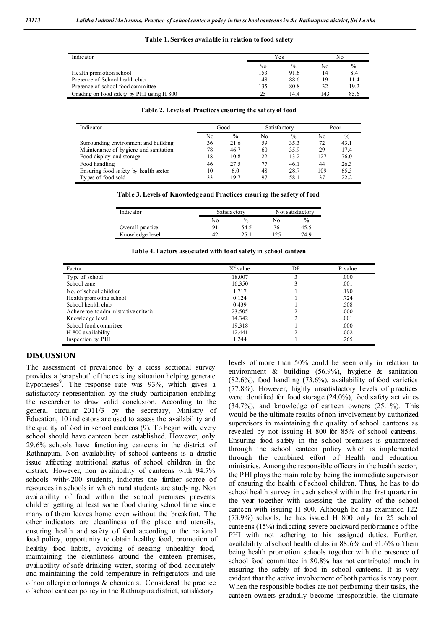#### **Table 1. Services available in relation to food safety**

| Indicator                                 |     | Yes           |     | No            |  |
|-------------------------------------------|-----|---------------|-----|---------------|--|
|                                           | No  | $\frac{0}{0}$ | No  | $\frac{0}{0}$ |  |
| Health promotion school                   | 153 | 91.6          | 14  | 8.4           |  |
| Presence of School health club            | 148 | 88.6          | 19  | 11.4          |  |
| Presence of school food committee         | 135 | 80.8          | 32  | 19.2          |  |
| Grading on food safety by PHI using H 800 | 25  | 14.4          | 143 | 85.6          |  |

| Table 2. Levels of Practices ensuring the safety of food |  |  |  |
|----------------------------------------------------------|--|--|--|
|----------------------------------------------------------|--|--|--|

| Indicator                              |      |               |              |               |      |               |
|----------------------------------------|------|---------------|--------------|---------------|------|---------------|
|                                        | Good |               | Satisfactory |               | Poor |               |
|                                        | No   | $\frac{0}{0}$ | No           | $\frac{0}{0}$ | No   | $\frac{0}{0}$ |
| Surrounding environment and building   | 36   | 21.6          | 59           | 35.3          | 72   | 43.1          |
| Maintenance of hy giene and sanitation | 78   | 46.7          | 60           | 35.9          | 29   | 17.4          |
| Food display and storage               | 18   | 10.8          | 22           | 13.2          | 127  | 76.0          |
| Food handling                          | 46   | 27.5          | 77           | 46.1          | 44   | 26.3          |
| Ensuring food safety by health sector  | 10   | 6.0           | 48           | 28.7          | 109  | 65.3          |
| Types of food sold                     | 33   | 19.7          | 97           | 58.1          | 37   | 22.2          |

#### **Table 3. Levels of Knowledge and Practices ensuring the safety of food**

| Indicator        |    | Satisfactory  |     | Not satisfactory |
|------------------|----|---------------|-----|------------------|
|                  | Nο | $\frac{0}{0}$ | No  | $\frac{0}{0}$    |
| Overall practice |    | 54.5          | 76  | 45.5             |
| Knowledge level  |    | າ<            | 125 | 74.9             |

**Table 4. Factors associated with food safety in school canteen**

| Factor                               | $X^2$ value | DF | P value |
|--------------------------------------|-------------|----|---------|
| Type of school                       | 18.007      |    | .000    |
| School zone                          | 16.350      |    | .001    |
| No. of school children               | 1.717       |    | .190    |
| Health promoting school              | 0.124       |    | .724    |
| School health club                   | 0.439       |    | .508    |
| Adherence to administrative criteria | 23.505      |    | .000    |
| Knowledge level                      | 14.342      |    | .001    |
| School food committee                | 19.318      |    | .000    |
| H 800 availability                   | 12.441      |    | .002    |
| Inspection by PHI                    | 1.244       |    | .265    |

### **DISCUSSION**

The assessment of prevalence by a cross sectional survey provides a 'snapshot' of the existing situation helping generate hypotheses<sup>9</sup>. The response rate was 93%, which gives a satisfactory representation by the study participation enabling the researcher to draw valid conclusion. According to the general circular 2011/3 by the secretary, Ministry of Education, 10 indicators are used to assess the availability and the quality of food in school canteens (9). To begin with, every school should have canteen been established. However, only 29.6% schools have functioning canteens in the district of Rathnapura. Non availability of school canteens is a drastic issue affecting nutritional status of school children in the district. However, non availability of canteens with 94.7% schools with<200 students, indicates the further scarce of resources in schools in which rural students are studying. Non availability of food within the school premises prevents children getting at least some food during school time since many of them leaves home even without the breakfast. The other indicators are cleanliness of the place and utensils, ensuring health and safety of food according o the national food policy, opportunity to obtain healthy food, promotion of healthy food habits, avoiding of seeking unhealthy food, maintaining the cleanliness around the canteen premises, availability of safe drinking water, storing of food accurately and maintaining the cold temperature in refrigerators and use of non allergic colorings & chemicals. Considered the practice of school canteen policy in the Rathnapura district, satisfactory

levels of more than 50% could be seen only in relation to environment & building (56.9%), hygiene & sanitation (82.6%), food handling (73.6%), availability of food varieties (77.8%). However, highly unsatisfactory levels of practices were identified for food storage (24.0%), food safety activities (34.7%), and knowledge of canteen owners (25.1%). This would be the ultimate results of non involvement by authorized supervisors in maintaining the quality of school canteens as revealed by not issuing H 800 for 85% of school canteens. Ensuring food safety in the school premises is guaranteed through the school canteen policy which is implemented through the combined effort of Health and education ministries. Among the responsible officers in the health sector, the PHI plays the main role by being the immediate supervisor of ensuring the health of school children. Thus, he has to do school health survey in each school within the first quarter in the year together with assessing the quality of the school canteen with issuing H 800. Although he has examined 122 (73.9%) schools, he has issued H 800 only for 25 school canteens (15%) indicating severe backward performance of the PHI with not adhering to his assigned duties. Further, availability of school health clubs in 88.6% and 91.6% of them being health promotion schools together with the presence of school food committee in 80.8% has not contributed much in ensuring the safety of food in school canteens. It is very evident that the active involvement of both parties is very poor. When the responsible bodies are not performing their tasks, the canteen owners gradually become irresponsible; the ultimate